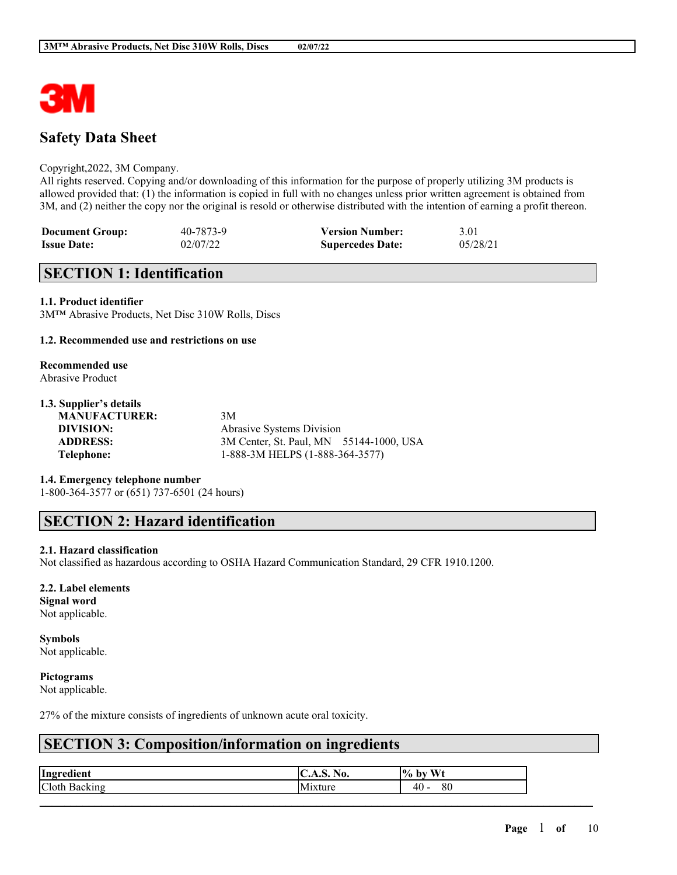

# **Safety Data Sheet**

### Copyright,2022, 3M Company.

All rights reserved. Copying and/or downloading of this information for the purpose of properly utilizing 3M products is allowed provided that: (1) the information is copied in full with no changes unless prior written agreement is obtained from 3M, and (2) neither the copy nor the original is resold or otherwise distributed with the intention of earning a profit thereon.

| <b>Document Group:</b> | 40-7873-9 | <b>Version Number:</b>  | 3.01     |
|------------------------|-----------|-------------------------|----------|
| <b>Issue Date:</b>     | 02/07/22  | <b>Supercedes Date:</b> | 05/28/21 |

## **SECTION 1: Identification**

### **1.1. Product identifier**

3M™ Abrasive Products, Net Disc 310W Rolls, Discs

### **1.2. Recommended use and restrictions on use**

### **Recommended use** Abrasive Product

### **1.3. Supplier's details**

**MANUFACTURER:** 3M

**DIVISION:** Abrasive Systems Division **ADDRESS:** 3M Center, St. Paul, MN 55144-1000, USA **Telephone:** 1-888-3M HELPS (1-888-364-3577)

### **1.4. Emergency telephone number**

1-800-364-3577 or (651) 737-6501 (24 hours)

## **SECTION 2: Hazard identification**

### **2.1. Hazard classification**

Not classified as hazardous according to OSHA Hazard Communication Standard, 29 CFR 1910.1200.

### **2.2. Label elements**

**Signal word** Not applicable.

# **Symbols**

Not applicable.

### **Pictograms**

Not applicable.

27% of the mixture consists of ingredients of unknown acute oral toxicity.

# **SECTION 3: Composition/information on ingredients**

| Ingredient    | $\mathbf{H}$<br> U.A.Ə. 190. | Wt<br>$\%$ by |
|---------------|------------------------------|---------------|
| Cloth Backing | $\mathbf{r}$<br>Mixture      | 80<br>$40 -$  |
|               |                              |               |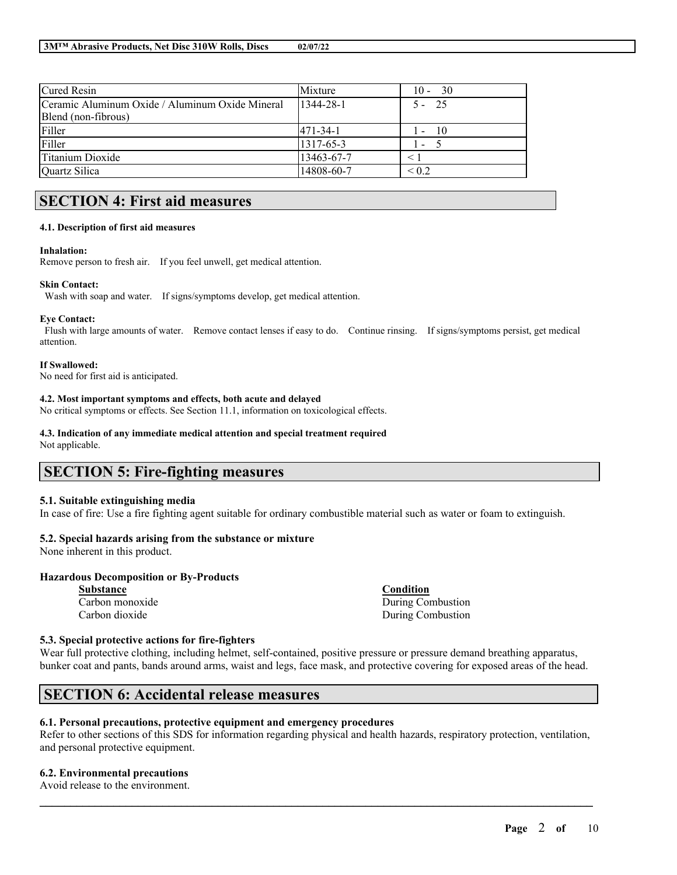| <b>Cured Resin</b>                              | Mixture         | -30<br>$10 -$                     |
|-------------------------------------------------|-----------------|-----------------------------------|
| Ceramic Aluminum Oxide / Aluminum Oxide Mineral | $1344 - 28 - 1$ | $5 - 25$                          |
| Blend (non-fibrous)                             |                 |                                   |
| Filler                                          | 1471-34-1       | $\overline{10}$<br>$\mathsf{I}$ – |
| Filler                                          | 1317-65-3       | I –                               |
| <b>Titanium Dioxide</b>                         | 13463-67-7      |                                   |
| Quartz Silica                                   | 14808-60-7      | ${}_{\leq 0.2}$                   |

# **SECTION 4: First aid measures**

#### **4.1. Description of first aid measures**

#### **Inhalation:**

Remove person to fresh air. If you feel unwell, get medical attention.

#### **Skin Contact:**

Wash with soap and water. If signs/symptoms develop, get medical attention.

### **Eye Contact:**

Flush with large amounts of water. Remove contact lenses if easy to do. Continue rinsing. If signs/symptoms persist, get medical attention.

#### **If Swallowed:**

No need for first aid is anticipated.

### **4.2. Most important symptoms and effects, both acute and delayed**

No critical symptoms or effects. See Section 11.1, information on toxicological effects.

#### **4.3. Indication of any immediate medical attention and special treatment required**

Not applicable.

## **SECTION 5: Fire-fighting measures**

### **5.1. Suitable extinguishing media**

In case of fire: Use a fire fighting agent suitable for ordinary combustible material such as water or foam to extinguish.

### **5.2. Special hazards arising from the substance or mixture**

None inherent in this product.

### **Hazardous Decomposition or By-Products**

**Substance Condition**

Carbon monoxide During Combustion Carbon dioxide During Combustion

### **5.3. Special protective actions for fire-fighters**

Wear full protective clothing, including helmet, self-contained, positive pressure or pressure demand breathing apparatus, bunker coat and pants, bands around arms, waist and legs, face mask, and protective covering for exposed areas of the head.

## **SECTION 6: Accidental release measures**

### **6.1. Personal precautions, protective equipment and emergency procedures**

Refer to other sections of this SDS for information regarding physical and health hazards, respiratory protection, ventilation, and personal protective equipment.

 $\mathcal{L}_\mathcal{L} = \mathcal{L}_\mathcal{L} = \mathcal{L}_\mathcal{L} = \mathcal{L}_\mathcal{L} = \mathcal{L}_\mathcal{L} = \mathcal{L}_\mathcal{L} = \mathcal{L}_\mathcal{L} = \mathcal{L}_\mathcal{L} = \mathcal{L}_\mathcal{L} = \mathcal{L}_\mathcal{L} = \mathcal{L}_\mathcal{L} = \mathcal{L}_\mathcal{L} = \mathcal{L}_\mathcal{L} = \mathcal{L}_\mathcal{L} = \mathcal{L}_\mathcal{L} = \mathcal{L}_\mathcal{L} = \mathcal{L}_\mathcal{L}$ 

### **6.2. Environmental precautions**

Avoid release to the environment.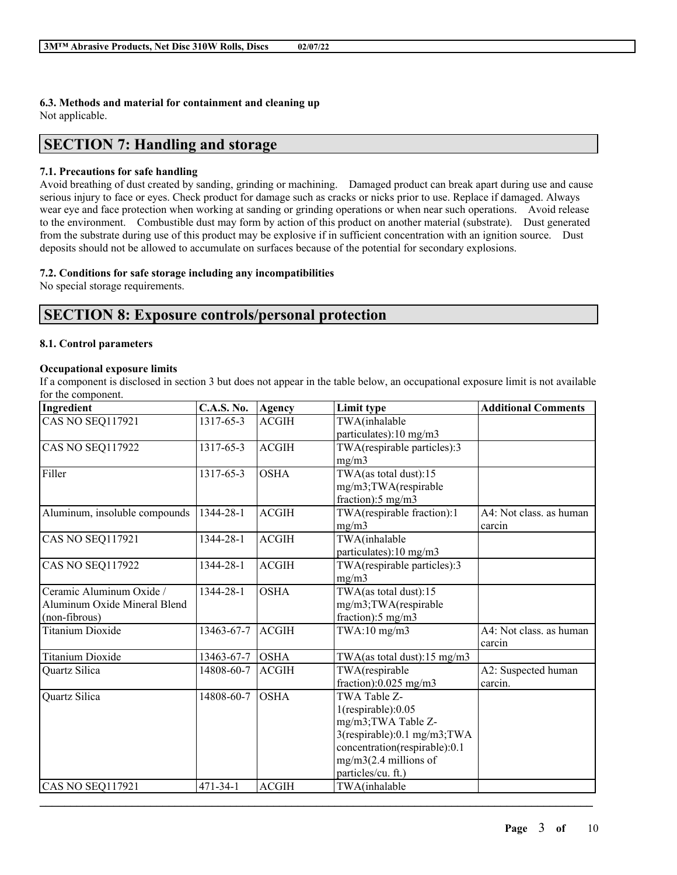## **6.3. Methods and material for containment and cleaning up**

Not applicable.

## **SECTION 7: Handling and storage**

### **7.1. Precautions for safe handling**

Avoid breathing of dust created by sanding, grinding or machining. Damaged product can break apart during use and cause serious injury to face or eyes. Check product for damage such as cracks or nicks prior to use. Replace if damaged. Always wear eye and face protection when working at sanding or grinding operations or when near such operations. Avoid release to the environment. Combustible dust may form by action of this product on another material (substrate). Dust generated from the substrate during use of this product may be explosive if in sufficient concentration with an ignition source. Dust deposits should not be allowed to accumulate on surfaces because of the potential for secondary explosions.

### **7.2. Conditions for safe storage including any incompatibilities**

No special storage requirements.

# **SECTION 8: Exposure controls/personal protection**

### **8.1. Control parameters**

### **Occupational exposure limits**

If a component is disclosed in section 3 but does not appear in the table below, an occupational exposure limit is not available for the component.

| Ingredient                                                                | <b>C.A.S. No.</b> | Agency       | Limit type                                                                                                                                                                       | <b>Additional Comments</b>        |
|---------------------------------------------------------------------------|-------------------|--------------|----------------------------------------------------------------------------------------------------------------------------------------------------------------------------------|-----------------------------------|
| CAS NO SEQ117921                                                          | 1317-65-3         | <b>ACGIH</b> | TWA(inhalable<br>particulates):10 mg/m3                                                                                                                                          |                                   |
| CAS NO SEQ117922                                                          | 1317-65-3         | <b>ACGIH</b> | TWA(respirable particles):3<br>mg/m3                                                                                                                                             |                                   |
| Filler                                                                    | 1317-65-3         | <b>OSHA</b>  | TWA(as total dust):15<br>mg/m3;TWA(respirable<br>fraction):5 mg/m3                                                                                                               |                                   |
| Aluminum, insoluble compounds                                             | 1344-28-1         | ACGIH        | TWA(respirable fraction):1<br>mg/m3                                                                                                                                              | A4: Not class. as human<br>carcin |
| <b>CAS NO SEQ117921</b>                                                   | 1344-28-1         | <b>ACGIH</b> | TWA(inhalable<br>particulates):10 mg/m3                                                                                                                                          |                                   |
| CAS NO SEQ117922                                                          | 1344-28-1         | <b>ACGIH</b> | TWA(respirable particles):3<br>mg/m3                                                                                                                                             |                                   |
| Ceramic Aluminum Oxide /<br>Aluminum Oxide Mineral Blend<br>(non-fibrous) | 1344-28-1         | <b>OSHA</b>  | TWA(as total dust):15<br>mg/m3;TWA(respirable<br>fraction):5 mg/m3                                                                                                               |                                   |
| <b>Titanium Dioxide</b>                                                   | 13463-67-7        | <b>ACGIH</b> | $TWA:10$ mg/m $3$                                                                                                                                                                | A4: Not class. as human<br>carcin |
| <b>Titanium Dioxide</b>                                                   | 13463-67-7        | <b>OSHA</b>  | TWA(as total dust): $15 \text{ mg/m}$ 3                                                                                                                                          |                                   |
| Quartz Silica                                                             | 14808-60-7        | ACGIH        | TWA(respirable<br>fraction):0.025 mg/m3                                                                                                                                          | A2: Suspected human<br>carcin.    |
| Quartz Silica                                                             | 14808-60-7        | <b>OSHA</b>  | TWA Table Z-<br>$1$ (respirable): $0.05$<br>mg/m3; TWA Table Z-<br>3(respirable):0.1 mg/m3;TWA<br>concentration(respirable):0.1<br>$mg/m3(2.4$ millions of<br>particles/cu. ft.) |                                   |
| CAS NO SEQ117921                                                          | $471 - 34 - 1$    | <b>ACGIH</b> | TWA(inhalable                                                                                                                                                                    |                                   |

 $\mathcal{L}_\mathcal{L} = \mathcal{L}_\mathcal{L} = \mathcal{L}_\mathcal{L} = \mathcal{L}_\mathcal{L} = \mathcal{L}_\mathcal{L} = \mathcal{L}_\mathcal{L} = \mathcal{L}_\mathcal{L} = \mathcal{L}_\mathcal{L} = \mathcal{L}_\mathcal{L} = \mathcal{L}_\mathcal{L} = \mathcal{L}_\mathcal{L} = \mathcal{L}_\mathcal{L} = \mathcal{L}_\mathcal{L} = \mathcal{L}_\mathcal{L} = \mathcal{L}_\mathcal{L} = \mathcal{L}_\mathcal{L} = \mathcal{L}_\mathcal{L}$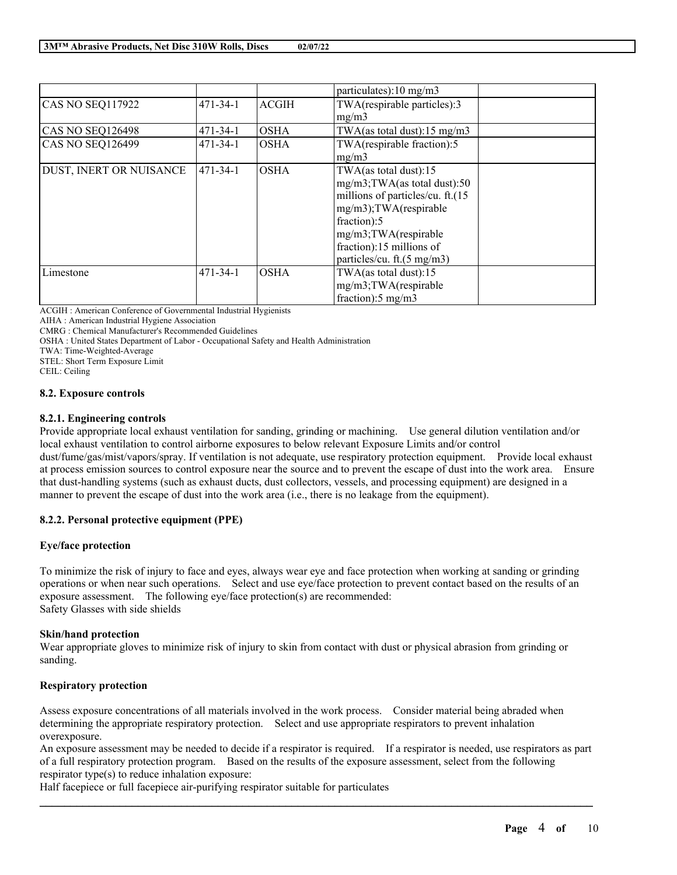|                         |                |              | particulates): $10 \text{ mg/m}$ 3      |
|-------------------------|----------------|--------------|-----------------------------------------|
| <b>CAS NO SEQ117922</b> | $471 - 34 - 1$ | <b>ACGIH</b> | TWA(respirable particles):3             |
|                         |                |              | mg/m3                                   |
| CAS NO SEQ126498        | $471 - 34 - 1$ | <b>OSHA</b>  | TWA(as total dust): $15 \text{ mg/m}$ 3 |
| <b>CAS NO SEQ126499</b> | $471 - 34 - 1$ | <b>OSHA</b>  | TWA(respirable fraction):5              |
|                         |                |              | mg/m3                                   |
| DUST, INERT OR NUISANCE | 471-34-1       | <b>OSHA</b>  | TWA(as total dust): $15$                |
|                         |                |              | mg/m3;TWA(as total dust):50             |
|                         |                |              | millions of particles/cu. ft.(15        |
|                         |                |              | mg/m3);TWA(respirable                   |
|                         |                |              | fraction):5                             |
|                         |                |              | mg/m3;TWA(respirable                    |
|                         |                |              | fraction):15 millions of                |
|                         |                |              | particles/cu. ft.(5 mg/m3)              |
| Limestone               | $471 - 34 - 1$ | <b>OSHA</b>  | TWA(as total dust):15                   |
|                         |                |              | mg/m3;TWA(respirable                    |
|                         |                |              | fraction):5 mg/m3                       |

ACGIH : American Conference of Governmental Industrial Hygienists

AIHA : American Industrial Hygiene Association

CMRG : Chemical Manufacturer's Recommended Guidelines

OSHA : United States Department of Labor - Occupational Safety and Health Administration

TWA: Time-Weighted-Average

STEL: Short Term Exposure Limit

CEIL: Ceiling

### **8.2. Exposure controls**

### **8.2.1. Engineering controls**

Provide appropriate local exhaust ventilation for sanding, grinding or machining. Use general dilution ventilation and/or local exhaust ventilation to control airborne exposures to below relevant Exposure Limits and/or control dust/fume/gas/mist/vapors/spray. If ventilation is not adequate, use respiratory protection equipment. Provide local exhaust at process emission sources to control exposure near the source and to prevent the escape of dust into the work area. Ensure that dust-handling systems (such as exhaust ducts, dust collectors, vessels, and processing equipment) are designed in a manner to prevent the escape of dust into the work area (i.e., there is no leakage from the equipment).

### **8.2.2. Personal protective equipment (PPE)**

### **Eye/face protection**

To minimize the risk of injury to face and eyes, always wear eye and face protection when working at sanding or grinding operations or when near such operations. Select and use eye/face protection to prevent contact based on the results of an exposure assessment. The following eye/face protection(s) are recommended: Safety Glasses with side shields

### **Skin/hand protection**

Wear appropriate gloves to minimize risk of injury to skin from contact with dust or physical abrasion from grinding or sanding.

### **Respiratory protection**

Assess exposure concentrations of all materials involved in the work process. Consider material being abraded when determining the appropriate respiratory protection. Select and use appropriate respirators to prevent inhalation overexposure.

An exposure assessment may be needed to decide if a respirator is required. If a respirator is needed, use respirators as part of a full respiratory protection program. Based on the results of the exposure assessment, select from the following respirator type(s) to reduce inhalation exposure:

 $\mathcal{L}_\mathcal{L} = \mathcal{L}_\mathcal{L} = \mathcal{L}_\mathcal{L} = \mathcal{L}_\mathcal{L} = \mathcal{L}_\mathcal{L} = \mathcal{L}_\mathcal{L} = \mathcal{L}_\mathcal{L} = \mathcal{L}_\mathcal{L} = \mathcal{L}_\mathcal{L} = \mathcal{L}_\mathcal{L} = \mathcal{L}_\mathcal{L} = \mathcal{L}_\mathcal{L} = \mathcal{L}_\mathcal{L} = \mathcal{L}_\mathcal{L} = \mathcal{L}_\mathcal{L} = \mathcal{L}_\mathcal{L} = \mathcal{L}_\mathcal{L}$ 

Half facepiece or full facepiece air-purifying respirator suitable for particulates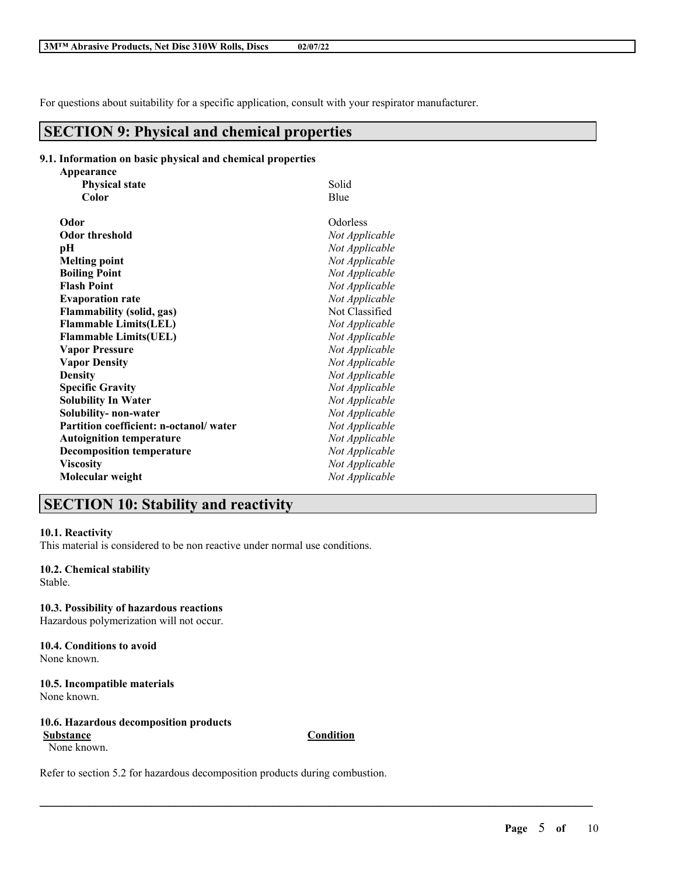For questions about suitability for a specific application, consult with your respirator manufacturer.

## **SECTION 9: Physical and chemical properties**

### **9.1. Information on basic physical and chemical properties**

| Solid          |
|----------------|
| Blue           |
| Odorless       |
| Not Applicable |
| Not Applicable |
| Not Applicable |
| Not Applicable |
| Not Applicable |
| Not Applicable |
| Not Classified |
| Not Applicable |
| Not Applicable |
| Not Applicable |
| Not Applicable |
| Not Applicable |
| Not Applicable |
| Not Applicable |
| Not Applicable |
| Not Applicable |
| Not Applicable |
| Not Applicable |
| Not Applicable |
| Not Applicable |
|                |

# **SECTION 10: Stability and reactivity**

### **10.1. Reactivity**

This material is considered to be non reactive under normal use conditions.

### **10.2. Chemical stability**

Stable.

**10.3. Possibility of hazardous reactions** Hazardous polymerization will not occur.

#### **10.4. Conditions to avoid** None known.

**10.5. Incompatible materials** None known.

### **10.6. Hazardous decomposition products Substance Condition**

None known.

 $\mathcal{L}_\mathcal{L} = \mathcal{L}_\mathcal{L} = \mathcal{L}_\mathcal{L} = \mathcal{L}_\mathcal{L} = \mathcal{L}_\mathcal{L} = \mathcal{L}_\mathcal{L} = \mathcal{L}_\mathcal{L} = \mathcal{L}_\mathcal{L} = \mathcal{L}_\mathcal{L} = \mathcal{L}_\mathcal{L} = \mathcal{L}_\mathcal{L} = \mathcal{L}_\mathcal{L} = \mathcal{L}_\mathcal{L} = \mathcal{L}_\mathcal{L} = \mathcal{L}_\mathcal{L} = \mathcal{L}_\mathcal{L} = \mathcal{L}_\mathcal{L}$ 

Refer to section 5.2 for hazardous decomposition products during combustion.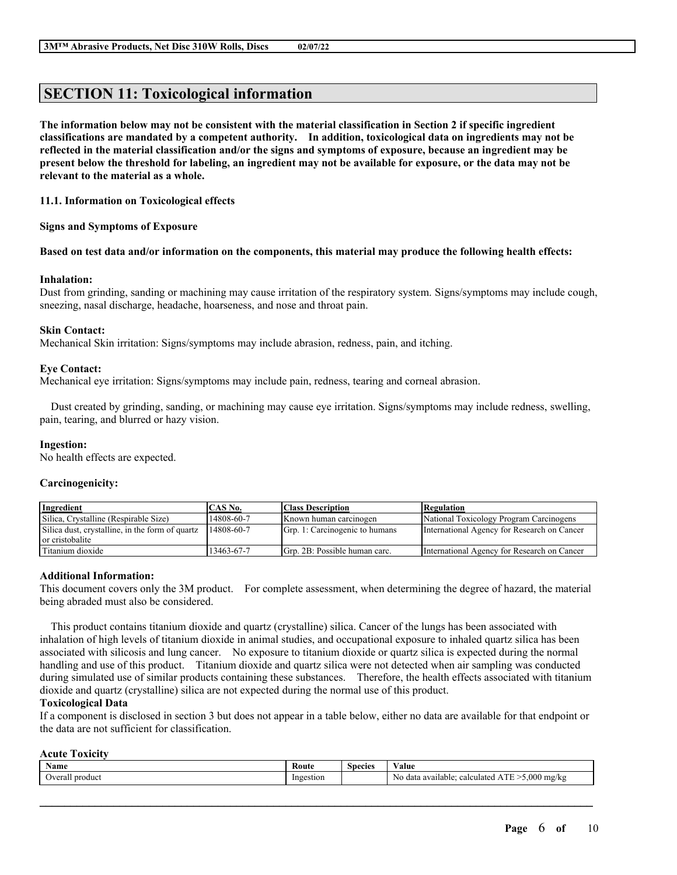# **SECTION 11: Toxicological information**

The information below may not be consistent with the material classification in Section 2 if specific ingredient **classifications are mandated by a competent authority. In addition, toxicological data on ingredients may not be** reflected in the material classification and/or the signs and symptoms of exposure, because an ingredient may be present below the threshold for labeling, an ingredient may not be available for exposure, or the data may not be **relevant to the material as a whole.**

### **11.1. Information on Toxicological effects**

**Signs and Symptoms of Exposure**

### Based on test data and/or information on the components, this material may produce the following health effects:

### **Inhalation:**

Dust from grinding, sanding or machining may cause irritation of the respiratory system. Signs/symptoms may include cough, sneezing, nasal discharge, headache, hoarseness, and nose and throat pain.

### **Skin Contact:**

Mechanical Skin irritation: Signs/symptoms may include abrasion, redness, pain, and itching.

### **Eye Contact:**

Mechanical eye irritation: Signs/symptoms may include pain, redness, tearing and corneal abrasion.

Dust created by grinding, sanding, or machining may cause eye irritation. Signs/symptoms may include redness, swelling, pain, tearing, and blurred or hazy vision.

### **Ingestion:**

No health effects are expected.

### **Carcinogenicity:**

| Ingredient                                                         | CAS No.    | <b>Class Description</b>       | <b>Regulation</b>                           |
|--------------------------------------------------------------------|------------|--------------------------------|---------------------------------------------|
| Silica, Crystalline (Respirable Size)                              | 14808-60-7 | Known human carcinogen         | National Toxicology Program Carcinogens     |
| Silica dust, crystalline, in the form of quartz<br>or cristobalite | 14808-60-7 | Grp. 1: Carcinogenic to humans | International Agency for Research on Cancer |
| Titanium dioxide                                                   | 13463-67-7 | Grp. 2B: Possible human carc.  | International Agency for Research on Cancer |

### **Additional Information:**

This document covers only the 3M product. For complete assessment, when determining the degree of hazard, the material being abraded must also be considered.

This product contains titanium dioxide and quartz (crystalline) silica. Cancer of the lungs has been associated with inhalation of high levels of titanium dioxide in animal studies, and occupational exposure to inhaled quartz silica has been associated with silicosis and lung cancer. No exposure to titanium dioxide or quartz silica is expected during the normal handling and use of this product. Titanium dioxide and quartz silica were not detected when air sampling was conducted during simulated use of similar products containing these substances. Therefore, the health effects associated with titanium dioxide and quartz (crystalline) silica are not expected during the normal use of this product.

### **Toxicological Data**

If a component is disclosed in section 3 but does not appear in a table below, either no data are available for that endpoint or the data are not sufficient for classification.

### **Acute Toxicity**

| Name                     | Coute       | species | 'alue                                                                                                                  |
|--------------------------|-------------|---------|------------------------------------------------------------------------------------------------------------------------|
| lyera<br>product<br>еган | stior<br>nο |         | .000<br><b>CONTRACT</b><br>mg/k<br>calculated<br>-data<br>. available:<br>NC<br>، ۱۱<br>LΝ<br>$\mathbf{r}$<br>.<br>. . |

 $\mathcal{L}_\mathcal{L} = \mathcal{L}_\mathcal{L} = \mathcal{L}_\mathcal{L} = \mathcal{L}_\mathcal{L} = \mathcal{L}_\mathcal{L} = \mathcal{L}_\mathcal{L} = \mathcal{L}_\mathcal{L} = \mathcal{L}_\mathcal{L} = \mathcal{L}_\mathcal{L} = \mathcal{L}_\mathcal{L} = \mathcal{L}_\mathcal{L} = \mathcal{L}_\mathcal{L} = \mathcal{L}_\mathcal{L} = \mathcal{L}_\mathcal{L} = \mathcal{L}_\mathcal{L} = \mathcal{L}_\mathcal{L} = \mathcal{L}_\mathcal{L}$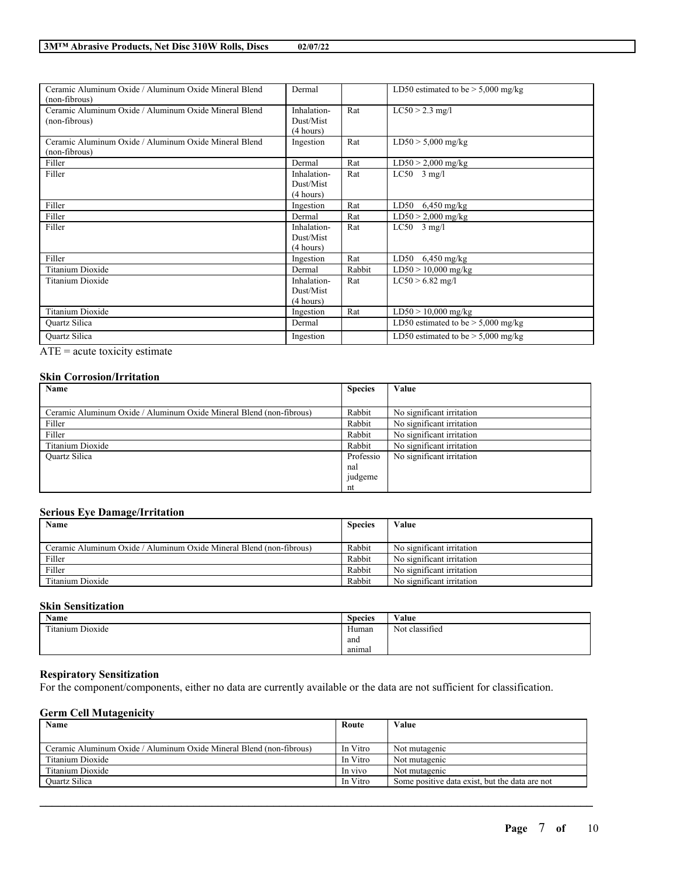| Ceramic Aluminum Oxide / Aluminum Oxide Mineral Blend | Dermal      |        | LD50 estimated to be $> 5,000$ mg/kg |
|-------------------------------------------------------|-------------|--------|--------------------------------------|
| (non-fibrous)                                         |             |        |                                      |
| Ceramic Aluminum Oxide / Aluminum Oxide Mineral Blend | Inhalation- | Rat    | $LC50 > 2.3$ mg/l                    |
| (non-fibrous)                                         | Dust/Mist   |        |                                      |
|                                                       | (4 hours)   |        |                                      |
| Ceramic Aluminum Oxide / Aluminum Oxide Mineral Blend | Ingestion   | Rat    | $LD50 > 5,000$ mg/kg                 |
| (non-fibrous)                                         |             |        |                                      |
| Filler                                                | Dermal      | Rat    | $LD50 > 2,000$ mg/kg                 |
| Filler                                                | Inhalation- | Rat    | $LC50$ 3 mg/l                        |
|                                                       | Dust/Mist   |        |                                      |
|                                                       | (4 hours)   |        |                                      |
| Filler                                                | Ingestion   | Rat    | LD50<br>$6,450$ mg/kg                |
| Filler                                                | Dermal      | Rat    | $LD50 > 2,000$ mg/kg                 |
| Filler                                                | Inhalation- | Rat    | $LC50$ 3 mg/l                        |
|                                                       | Dust/Mist   |        |                                      |
|                                                       | (4 hours)   |        |                                      |
| Filler                                                | Ingestion   | Rat    | LD50<br>$6,450$ mg/kg                |
| Titanium Dioxide                                      | Dermal      | Rabbit | $LD50 > 10,000$ mg/kg                |
| Titanium Dioxide                                      | Inhalation- | Rat    | $LC50 > 6.82$ mg/l                   |
|                                                       | Dust/Mist   |        |                                      |
|                                                       | (4 hours)   |        |                                      |
| <b>Titanium Dioxide</b>                               | Ingestion   | Rat    | $LD50 > 10,000$ mg/kg                |
| Quartz Silica                                         | Dermal      |        | LD50 estimated to be $> 5,000$ mg/kg |
| <b>Ouartz Silica</b>                                  | Ingestion   |        | LD50 estimated to be $>$ 5,000 mg/kg |

ATE = acute toxicity estimate

### **Skin Corrosion/Irritation**

| Name                                                                | <b>Species</b> | Value                     |
|---------------------------------------------------------------------|----------------|---------------------------|
|                                                                     |                |                           |
| Ceramic Aluminum Oxide / Aluminum Oxide Mineral Blend (non-fibrous) | Rabbit         | No significant irritation |
| Filler                                                              | Rabbit         | No significant irritation |
| Filler                                                              | Rabbit         | No significant irritation |
| Titanium Dioxide                                                    | Rabbit         | No significant irritation |
| <b>Ouartz Silica</b>                                                | Professio      | No significant irritation |
|                                                                     | nal            |                           |
|                                                                     | judgeme        |                           |
|                                                                     | nt             |                           |

### **Serious Eye Damage/Irritation**

| Name                                                                | <b>Species</b> | Value                     |
|---------------------------------------------------------------------|----------------|---------------------------|
| Ceramic Aluminum Oxide / Aluminum Oxide Mineral Blend (non-fibrous) | Rabbit         | No significant irritation |
| Filler                                                              | Rabbit         | No significant irritation |
| Filler                                                              | Rabbit         | No significant irritation |
| Titanium Dioxide                                                    | Rabbit         | No significant irritation |

### **Skin Sensitization**

| Name                           | ∼<br><b>Species</b> | $\mathbf{v}$ $\mathbf{v}$ $\mathbf{v}$<br>⁄ alue |
|--------------------------------|---------------------|--------------------------------------------------|
| contact and<br>itanium Dioxide | Human               | classified<br>$\mathbf{X}$<br>Not                |
|                                | and                 |                                                  |
|                                | anımal              |                                                  |

### **Respiratory Sensitization**

For the component/components, either no data are currently available or the data are not sufficient for classification.

### **Germ Cell Mutagenicity**

| Name                                                                | Route    | Value                                          |
|---------------------------------------------------------------------|----------|------------------------------------------------|
|                                                                     |          |                                                |
| Ceramic Aluminum Oxide / Aluminum Oxide Mineral Blend (non-fibrous) | In Vitro | Not mutagenic                                  |
| Titanium Dioxide                                                    | In Vitro | Not mutagenic                                  |
| Titanium Dioxide                                                    | In vivo  | Not mutagenic                                  |
| <b>Ouartz Silica</b>                                                | In Vitro | Some positive data exist, but the data are not |

 $\mathcal{L}_\mathcal{L} = \mathcal{L}_\mathcal{L} = \mathcal{L}_\mathcal{L} = \mathcal{L}_\mathcal{L} = \mathcal{L}_\mathcal{L} = \mathcal{L}_\mathcal{L} = \mathcal{L}_\mathcal{L} = \mathcal{L}_\mathcal{L} = \mathcal{L}_\mathcal{L} = \mathcal{L}_\mathcal{L} = \mathcal{L}_\mathcal{L} = \mathcal{L}_\mathcal{L} = \mathcal{L}_\mathcal{L} = \mathcal{L}_\mathcal{L} = \mathcal{L}_\mathcal{L} = \mathcal{L}_\mathcal{L} = \mathcal{L}_\mathcal{L}$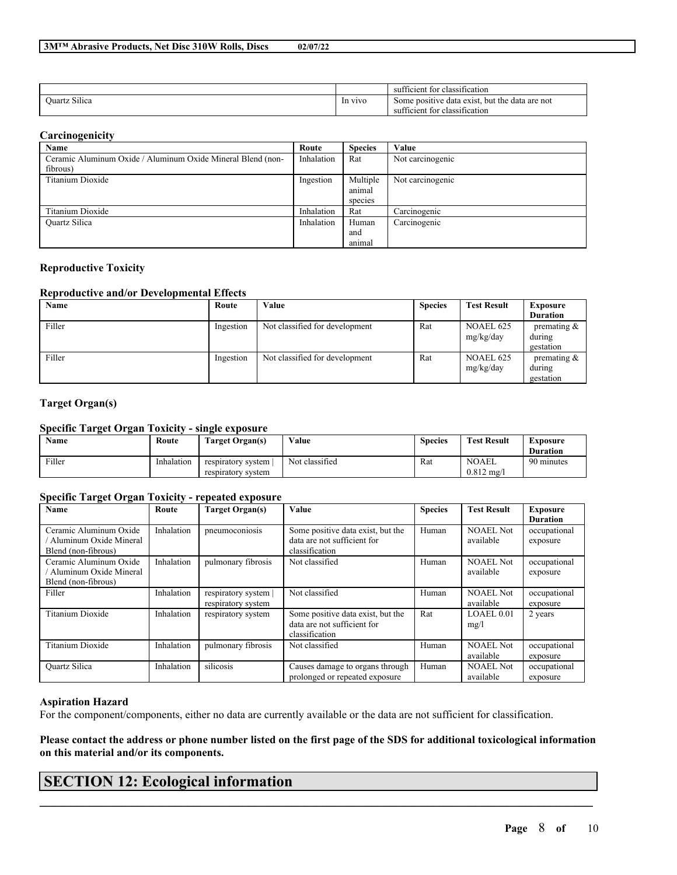|                         |         | $\sim$<br>sufficient for<br>classification                                                               |
|-------------------------|---------|----------------------------------------------------------------------------------------------------------|
| $\sim$<br>Juartz Silica | In vivo | . but the data are not<br>e positive<br>e data exist.<br>Some<br>. for<br>classification<br>sufficient i |

### **Carcinogenicity**

| Name                                                        | Route      | <b>Species</b> | Value            |
|-------------------------------------------------------------|------------|----------------|------------------|
| Ceramic Aluminum Oxide / Aluminum Oxide Mineral Blend (non- | Inhalation | Rat            | Not carcinogenic |
| fibrous)                                                    |            |                |                  |
| Titanium Dioxide                                            | Ingestion  | Multiple       | Not carcinogenic |
|                                                             |            | animal         |                  |
|                                                             |            | species        |                  |
| Titanium Dioxide                                            | Inhalation | Rat            | Carcinogenic     |
| <b>Ouartz Silica</b>                                        | Inhalation | Human          | Carcinogenic     |
|                                                             |            | and            |                  |
|                                                             |            | animal         |                  |

### **Reproductive Toxicity**

### **Reproductive and/or Developmental Effects**

| Name   | Route     | Value                          | <b>Species</b> | <b>Test Result</b>            | <b>Exposure</b>                       |
|--------|-----------|--------------------------------|----------------|-------------------------------|---------------------------------------|
|        |           |                                |                |                               | <b>Duration</b>                       |
| Filler | Ingestion | Not classified for development | Rat            | <b>NOAEL 625</b><br>mg/kg/day | premating $\&$<br>during<br>gestation |
| Filler | Ingestion | Not classified for development | Rat            | <b>NOAEL 625</b><br>mg/kg/day | premating $\&$<br>during<br>gestation |

### **Target Organ(s)**

### **Specific Target Organ Toxicity - single exposure**

| <b>Name</b> | Route      | Target Organ(s)                          | Value          | <b>Species</b> | <b>Test Result</b>                 | Exposure<br><b>Duration</b> |
|-------------|------------|------------------------------------------|----------------|----------------|------------------------------------|-----------------------------|
| Filler      | Inhalation | respiratory system<br>respiratory system | Not classified | Rat            | <b>NOAEL</b><br>$0.812 \text{ mg}$ | 90 minutes                  |

### **Specific Target Organ Toxicity - repeated exposure**

| Name                                                                    | Route      | <b>Target Organ(s)</b>                     | Value                                                                              | <b>Species</b> | <b>Test Result</b>            | <b>Exposure</b><br><b>Duration</b> |
|-------------------------------------------------------------------------|------------|--------------------------------------------|------------------------------------------------------------------------------------|----------------|-------------------------------|------------------------------------|
| Ceramic Aluminum Oxide<br>Aluminum Oxide Mineral<br>Blend (non-fibrous) | Inhalation | pneumoconiosis                             | Some positive data exist, but the<br>data are not sufficient for<br>classification | Human          | <b>NOAEL Not</b><br>available | occupational<br>exposure           |
| Ceramic Aluminum Oxide<br>Aluminum Oxide Mineral<br>Blend (non-fibrous) | Inhalation | pulmonary fibrosis                         | Not classified                                                                     | Human          | <b>NOAEL Not</b><br>available | occupational<br>exposure           |
| Filler                                                                  | Inhalation | respiratory system  <br>respiratory system | Not classified                                                                     | Human          | <b>NOAEL Not</b><br>available | occupational<br>exposure           |
| <b>Titanium Dioxide</b>                                                 | Inhalation | respiratory system                         | Some positive data exist, but the<br>data are not sufficient for<br>classification | Rat            | LOAEL 0.01<br>mg/l            | 2 years                            |
| <b>Titanium Dioxide</b>                                                 | Inhalation | pulmonary fibrosis                         | Not classified                                                                     | Human          | <b>NOAEL Not</b><br>available | occupational<br>exposure           |
| <b>Ouartz Silica</b>                                                    | Inhalation | silicosis                                  | Causes damage to organs through<br>prolonged or repeated exposure                  | Human          | <b>NOAEL Not</b><br>available | occupational<br>exposure           |

### **Aspiration Hazard**

For the component/components, either no data are currently available or the data are not sufficient for classification.

Please contact the address or phone number listed on the first page of the SDS for additional toxicological information **on this material and/or its components.**

 $\mathcal{L}_\mathcal{L} = \mathcal{L}_\mathcal{L} = \mathcal{L}_\mathcal{L} = \mathcal{L}_\mathcal{L} = \mathcal{L}_\mathcal{L} = \mathcal{L}_\mathcal{L} = \mathcal{L}_\mathcal{L} = \mathcal{L}_\mathcal{L} = \mathcal{L}_\mathcal{L} = \mathcal{L}_\mathcal{L} = \mathcal{L}_\mathcal{L} = \mathcal{L}_\mathcal{L} = \mathcal{L}_\mathcal{L} = \mathcal{L}_\mathcal{L} = \mathcal{L}_\mathcal{L} = \mathcal{L}_\mathcal{L} = \mathcal{L}_\mathcal{L}$ 

# **SECTION 12: Ecological information**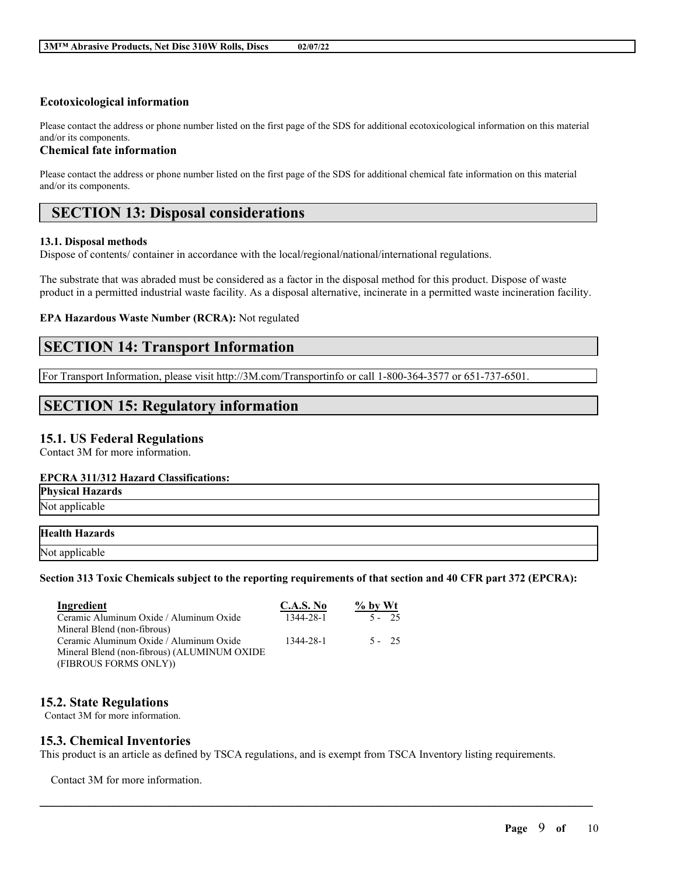### **Ecotoxicological information**

Please contact the address or phone number listed on the first page of the SDS for additional ecotoxicological information on this material and/or its components.

### **Chemical fate information**

Please contact the address or phone number listed on the first page of the SDS for additional chemical fate information on this material and/or its components.

# **SECTION 13: Disposal considerations**

### **13.1. Disposal methods**

Dispose of contents/ container in accordance with the local/regional/national/international regulations.

The substrate that was abraded must be considered as a factor in the disposal method for this product. Dispose of waste product in a permitted industrial waste facility. As a disposal alternative, incinerate in a permitted waste incineration facility.

### **EPA Hazardous Waste Number (RCRA):** Not regulated

## **SECTION 14: Transport Information**

For Transport Information, please visit http://3M.com/Transportinfo or call 1-800-364-3577 or 651-737-6501.

# **SECTION 15: Regulatory information**

### **15.1. US Federal Regulations**

Contact 3M for more information.

### **EPCRA 311/312 Hazard Classifications:**

**Physical Hazards** Not applicable

### **Health Hazards**

Not applicable

### Section 313 Toxic Chemicals subject to the reporting requirements of that section and 40 CFR part 372 (EPCRA):

| Ingredient                                  | <b>C.A.S. No</b> | $\%$ by Wt |
|---------------------------------------------|------------------|------------|
| Ceramic Aluminum Oxide / Aluminum Oxide     | 1344-28-1        | $5 - 25$   |
| Mineral Blend (non-fibrous)                 |                  |            |
| Ceramic Aluminum Oxide / Aluminum Oxide     | 1344-28-1        | $5 - 25$   |
| Mineral Blend (non-fibrous) (ALUMINUM OXIDE |                  |            |
| (FIBROUS FORMS ONLY))                       |                  |            |

## **15.2. State Regulations**

Contact 3M for more information.

## **15.3. Chemical Inventories**

This product is an article as defined by TSCA regulations, and is exempt from TSCA Inventory listing requirements.

 $\mathcal{L}_\mathcal{L} = \mathcal{L}_\mathcal{L} = \mathcal{L}_\mathcal{L} = \mathcal{L}_\mathcal{L} = \mathcal{L}_\mathcal{L} = \mathcal{L}_\mathcal{L} = \mathcal{L}_\mathcal{L} = \mathcal{L}_\mathcal{L} = \mathcal{L}_\mathcal{L} = \mathcal{L}_\mathcal{L} = \mathcal{L}_\mathcal{L} = \mathcal{L}_\mathcal{L} = \mathcal{L}_\mathcal{L} = \mathcal{L}_\mathcal{L} = \mathcal{L}_\mathcal{L} = \mathcal{L}_\mathcal{L} = \mathcal{L}_\mathcal{L}$ 

Contact 3M for more information.